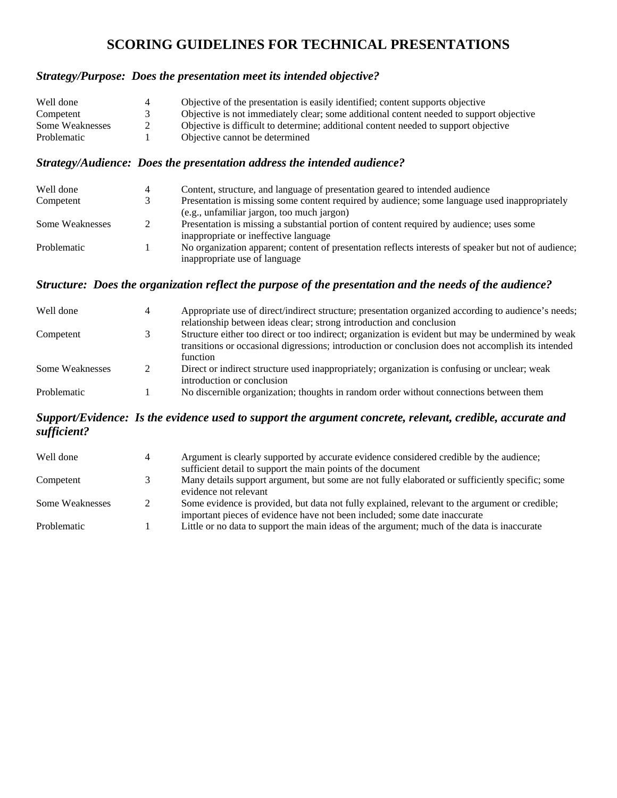# **SCORING GUIDELINES FOR TECHNICAL PRESENTATIONS**

#### *Strategy/Purpose: Does the presentation meet its intended objective?*

| Well done       |   | Objective of the presentation is easily identified; content supports objective          |
|-----------------|---|-----------------------------------------------------------------------------------------|
| Competent       |   | Objective is not immediately clear; some additional content needed to support objective |
| Some Weaknesses | 2 | Objective is difficult to determine; additional content needed to support objective     |
| Problematic     |   | Objective cannot be determined                                                          |

#### *Strategy/Audience: Does the presentation address the intended audience?*

| Well done       | Content, structure, and language of presentation geared to intended audience                         |
|-----------------|------------------------------------------------------------------------------------------------------|
| Competent       | Presentation is missing some content required by audience; some language used inappropriately        |
|                 | (e.g., unfamiliar jargon, too much jargon)                                                           |
| Some Weaknesses | Presentation is missing a substantial portion of content required by audience; uses some             |
|                 | inappropriate or ineffective language                                                                |
| Problematic     | No organization apparent; content of presentation reflects interests of speaker but not of audience; |
|                 | inappropriate use of language                                                                        |

### *Structure: Does the organization reflect the purpose of the presentation and the needs of the audience?*

| Well done       | 4 | Appropriate use of direct/indirect structure; presentation organized according to audience's needs;<br>relationship between ideas clear; strong introduction and conclusion                                          |
|-----------------|---|----------------------------------------------------------------------------------------------------------------------------------------------------------------------------------------------------------------------|
| Competent       |   | Structure either too direct or too indirect; organization is evident but may be undermined by weak<br>transitions or occasional digressions; introduction or conclusion does not accomplish its intended<br>function |
| Some Weaknesses |   | Direct or indirect structure used inappropriately; organization is confusing or unclear; weak<br>introduction or conclusion                                                                                          |
| Problematic     |   | No discernible organization; thoughts in random order without connections between them                                                                                                                               |

#### *Support/Evidence: Is the evidence used to support the argument concrete, relevant, credible, accurate and sufficient?*

| Well done       | 4 | Argument is clearly supported by accurate evidence considered credible by the audience;<br>sufficient detail to support the main points of the document                     |
|-----------------|---|-----------------------------------------------------------------------------------------------------------------------------------------------------------------------------|
| Competent       |   | Many details support argument, but some are not fully elaborated or sufficiently specific; some<br>evidence not relevant                                                    |
| Some Weaknesses |   | Some evidence is provided, but data not fully explained, relevant to the argument or credible;<br>important pieces of evidence have not been included; some date inaccurate |
| Problematic     |   | Little or no data to support the main ideas of the argument; much of the data is inaccurate                                                                                 |